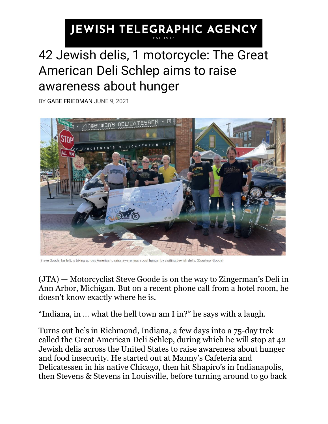## **JEWISH TELEGRAPHIC AGENCY** 42 Jewish delis, 1 motorcycle: The Great American Deli Schlep aims to raise

## awareness about hunger

BY [GABE FRIEDMAN](https://www.jta.org/author/gabe-friedman) JUNE 9, 2021



Steve Goode, far left, is biking across America to raise awareness about hunger by visiting Jewish delis. (Courtesy Goode)

[\(JTA\)](http://jta.org/) — Motorcyclist Steve Goode is on the way to Zingerman's Deli in Ann Arbor, Michigan. But on a recent phone call from a hotel room, he doesn't know exactly where he is.

"Indiana, in … what the hell town am I in?" he says with a laugh.

Turns out he's in Richmond, Indiana, a few days into a 75-day trek called the Great American Deli Schlep, during which he will stop at 42 Jewish delis across the United States to raise awareness about hunger and food insecurity. He started out at Manny's Cafeteria and Delicatessen in his native Chicago, then hit Shapiro's in Indianapolis, then Stevens & Stevens in Louisville, before turning around to go back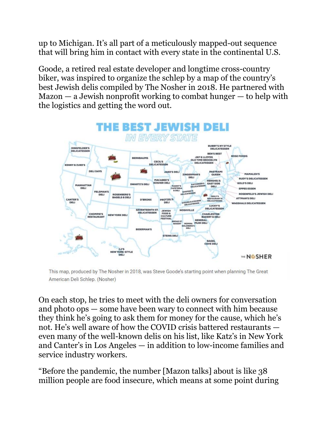up to Michigan. It's all part of a meticulously mapped-out sequence that will bring him in contact with every state in the continental U.S.

Goode, a retired real estate developer and longtime cross-country biker, was inspired to organize the schlep by a [map of the](https://www.myjewishlearning.com/the-nosher/this-map-shows-the-best-jewish-deli-in-every-state/) country's [best Jewish delis](https://www.myjewishlearning.com/the-nosher/this-map-shows-the-best-jewish-deli-in-every-state/) compiled by The Nosher in 2018. He partnered with  $Mazon - a$  Jewish nonprofit working to combat hunger  $-$  to help with the logistics and getting the word out.



This map, produced by The Nosher in 2018, was Steve Goode's starting point when planning The Great American Deli Schlep. (Nosher)

On each stop, he tries to meet with the deli owners for conversation and photo ops — some have been wary to connect with him because they think he's going to ask them for money for the cause, which he's not. He's well aware of how the COVID crisis battered restaurants even many of the well-known delis on his list, like Katz's in New York and Canter's in Los Angeles — in addition to low-income families and service industry workers.

"Before the pandemic, the number [Mazon talks] about is like 38 million people are food insecure, which means at some point during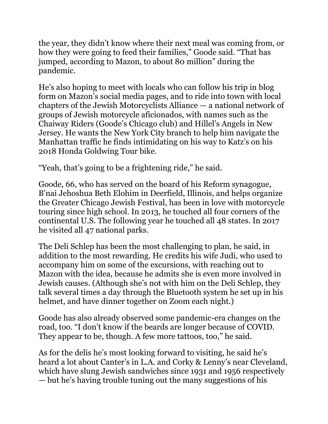the year, they didn't know where their next meal was coming from, or how they were going to feed their families," Goode said. "That has jumped, according to Mazon, to about 80 million" during the pandemic.

He's also hoping to meet with locals who can follow his trip in blog form on [Mazon's social media](https://www.facebook.com/mazonusa) pages, and to ride into town with local chapters of the Jewish Motorcyclists Alliance — a national network of groups of Jewish motorcycle aficionados, with names such as the Chaiway Riders (Goode's Chicago club) and Hillel's Angels in New Jersey. He wants the New York City branch to help him navigate the Manhattan traffic he finds intimidating on his way to Katz's on his 2018 Honda Goldwing Tour bike.

"Yeah, that's going to be a frightening ride," he said.

Goode, 66, who has served on the board of his Reform synagogue, B'nai Jehoshua Beth Elohim in Deerfield, Illinois, and helps organize the [Greater Chicago Jewish Festival,](https://jewishfestival.org/) has been in love with motorcycle touring since high school. In 2013, he touched all four corners of the continental U.S. The following year he touched all 48 states. In 2017 he visited all 47 national parks.

The Deli Schlep has been the most challenging to plan, he said, in addition to the most rewarding. He credits his wife Judi, who used to accompany him on some of the excursions, with reaching out to Mazon with the idea, because he admits she is even more involved in Jewish causes. (Although she's not with him on the Deli Schlep, they talk several times a day through the Bluetooth system he set up in his helmet, and have dinner together on Zoom each night.)

Goode has also already observed some pandemic-era changes on the road, too. "I don't know if the beards are longer because of COVID. They appear to be, though. A few more tattoos, too," he said.

As for the delis he's most looking forward to visiting, he said he's heard a lot about Canter's in L.A. and Corky & Lenny's near Cleveland, which have slung Jewish sandwiches since 1931 and 1956 respectively — but he's having trouble tuning out the many suggestions of his